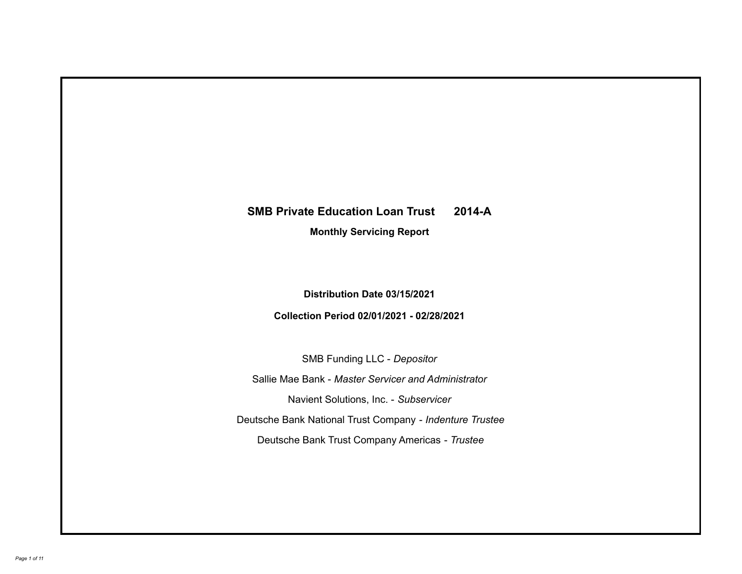## **SMB Private Education Loan Trust 2014-A**

**Monthly Servicing Report**

**Distribution Date 03/15/2021**

**Collection Period 02/01/2021 - 02/28/2021**

SMB Funding LLC - *Depositor*

Sallie Mae Bank - *Master Servicer and Administrator*

Navient Solutions, Inc. - *Subservicer*

Deutsche Bank National Trust Company - *Indenture Trustee*

Deutsche Bank Trust Company Americas - *Trustee*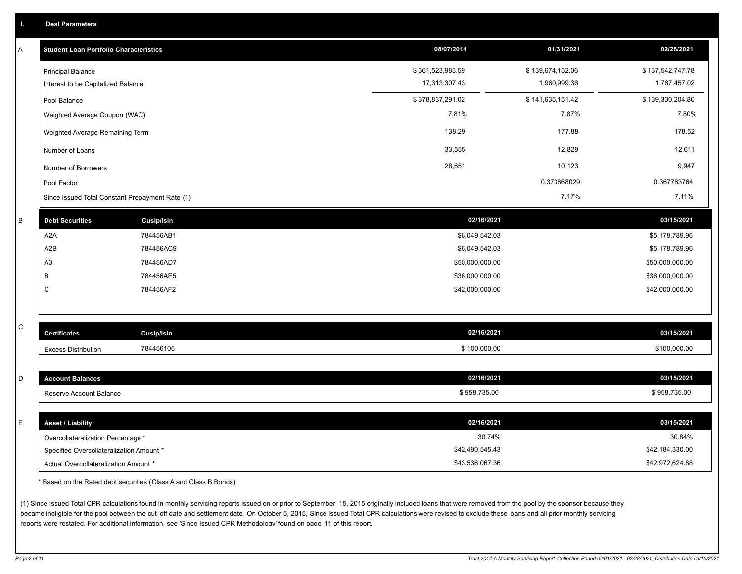| A         | <b>Student Loan Portfolio Characteristics</b>   |                   | 08/07/2014       | 01/31/2021       | 02/28/2021       |
|-----------|-------------------------------------------------|-------------------|------------------|------------------|------------------|
|           | <b>Principal Balance</b>                        |                   | \$361,523,983.59 | \$139,674,152.06 | \$137,542,747.78 |
|           | Interest to be Capitalized Balance              |                   | 17,313,307.43    | 1,960,999.36     | 1,787,457.02     |
|           | Pool Balance                                    |                   | \$378,837,291.02 | \$141,635,151.42 | \$139,330,204.80 |
|           | Weighted Average Coupon (WAC)                   |                   | 7.81%            | 7.87%            | 7.80%            |
|           | Weighted Average Remaining Term                 |                   | 138.29           | 177.88           | 178.52           |
|           | Number of Loans                                 |                   | 33,555           | 12,829           | 12,611           |
|           | Number of Borrowers                             |                   | 26,651           | 10,123           | 9,947            |
|           | Pool Factor                                     |                   |                  | 0.373868029      | 0.367783764      |
|           | Since Issued Total Constant Prepayment Rate (1) |                   |                  | 7.17%            | 7.11%            |
| B         | <b>Debt Securities</b>                          | <b>Cusip/Isin</b> | 02/16/2021       |                  | 03/15/2021       |
|           | A <sub>2</sub> A                                | 784456AB1         | \$6,049,542.03   |                  | \$5,178,789.96   |
|           | A2B                                             | 784456AC9         | \$6,049,542.03   |                  | \$5,178,789.96   |
|           | A <sub>3</sub>                                  | 784456AD7         | \$50,000,000.00  |                  | \$50,000,000.00  |
|           | B                                               | 784456AE5         | \$36,000,000.00  |                  | \$36,000,000.00  |
|           | $\mathsf C$                                     | 784456AF2         | \$42,000,000.00  |                  | \$42,000,000.00  |
|           |                                                 |                   |                  |                  |                  |
| ${\bf C}$ | <b>Certificates</b>                             | <b>Cusip/Isin</b> | 02/16/2021       |                  | 03/15/2021       |
|           |                                                 |                   |                  |                  |                  |
|           | <b>Excess Distribution</b>                      | 784456105         | \$100,000.00     |                  | \$100,000.00     |
| D         | <b>Account Balances</b>                         |                   | 02/16/2021       |                  | 03/15/2021       |
|           | Reserve Account Balance                         |                   | \$958,735.00     |                  | \$958,735.00     |
|           |                                                 |                   |                  |                  |                  |
| E         | <b>Asset / Liability</b>                        |                   | 02/16/2021       |                  | 03/15/2021       |
|           | Overcollateralization Percentage *              |                   |                  | 30.74%           | 30.84%           |
|           | Specified Overcollateralization Amount *        |                   | \$42,490,545.43  |                  | \$42,184,330.00  |
|           | Actual Overcollateralization Amount *           |                   | \$43,536,067.36  |                  | \$42,972,624.88  |

\* Based on the Rated debt securities (Class A and Class B Bonds)

(1) Since Issued Total CPR calculations found in monthly servicing reports issued on or prior to September 15, 2015 originally included loans that were removed from the pool by the sponsor because they became ineligible for the pool between the cut-off date and settlement date. On October 5, 2015, Since Issued Total CPR calculations were revised to exclude these loans and all prior monthly servicing reports were restated. For additional information, see 'Since Issued CPR Methodology' found on page 11 of this report.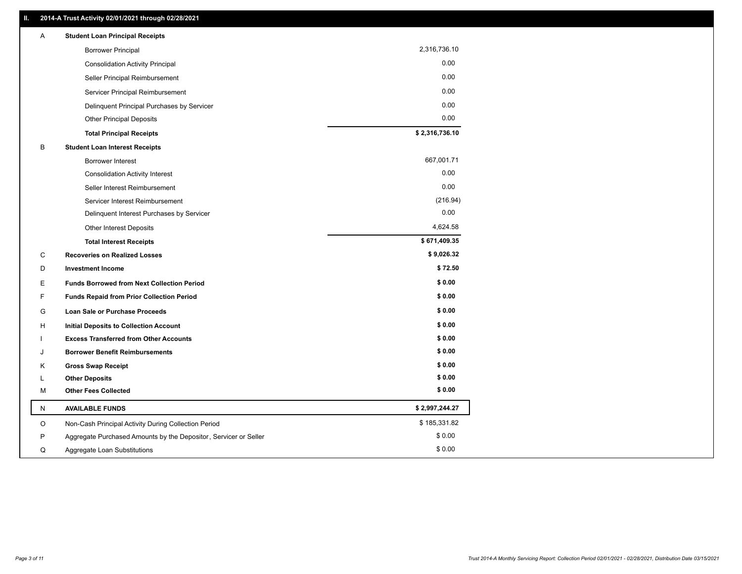| 2,316,736.10<br><b>Borrower Principal</b><br>0.00<br><b>Consolidation Activity Principal</b><br>0.00<br>Seller Principal Reimbursement<br>0.00<br>Servicer Principal Reimbursement<br>0.00<br>Delinquent Principal Purchases by Servicer<br>0.00<br><b>Other Principal Deposits</b><br>\$2,316,736.10<br><b>Total Principal Receipts</b> |  |
|------------------------------------------------------------------------------------------------------------------------------------------------------------------------------------------------------------------------------------------------------------------------------------------------------------------------------------------|--|
|                                                                                                                                                                                                                                                                                                                                          |  |
|                                                                                                                                                                                                                                                                                                                                          |  |
|                                                                                                                                                                                                                                                                                                                                          |  |
|                                                                                                                                                                                                                                                                                                                                          |  |
|                                                                                                                                                                                                                                                                                                                                          |  |
|                                                                                                                                                                                                                                                                                                                                          |  |
|                                                                                                                                                                                                                                                                                                                                          |  |
| B<br><b>Student Loan Interest Receipts</b>                                                                                                                                                                                                                                                                                               |  |
| 667,001.71<br><b>Borrower Interest</b>                                                                                                                                                                                                                                                                                                   |  |
| 0.00<br><b>Consolidation Activity Interest</b>                                                                                                                                                                                                                                                                                           |  |
| 0.00<br>Seller Interest Reimbursement                                                                                                                                                                                                                                                                                                    |  |
| (216.94)<br>Servicer Interest Reimbursement                                                                                                                                                                                                                                                                                              |  |
| 0.00<br>Delinquent Interest Purchases by Servicer                                                                                                                                                                                                                                                                                        |  |
| 4,624.58<br>Other Interest Deposits                                                                                                                                                                                                                                                                                                      |  |
| \$671,409.35<br><b>Total Interest Receipts</b>                                                                                                                                                                                                                                                                                           |  |
| \$9,026.32<br>C<br><b>Recoveries on Realized Losses</b>                                                                                                                                                                                                                                                                                  |  |
| \$72.50<br>D<br><b>Investment Income</b>                                                                                                                                                                                                                                                                                                 |  |
| \$0.00<br>Е<br><b>Funds Borrowed from Next Collection Period</b>                                                                                                                                                                                                                                                                         |  |
| \$0.00<br>F<br><b>Funds Repaid from Prior Collection Period</b>                                                                                                                                                                                                                                                                          |  |
| \$0.00<br>G<br>Loan Sale or Purchase Proceeds                                                                                                                                                                                                                                                                                            |  |
| \$0.00<br>н<br><b>Initial Deposits to Collection Account</b>                                                                                                                                                                                                                                                                             |  |
| \$0.00<br><b>Excess Transferred from Other Accounts</b>                                                                                                                                                                                                                                                                                  |  |
| \$0.00<br><b>Borrower Benefit Reimbursements</b><br>J                                                                                                                                                                                                                                                                                    |  |
| \$0.00<br>Κ<br><b>Gross Swap Receipt</b>                                                                                                                                                                                                                                                                                                 |  |
| \$0.00<br><b>Other Deposits</b><br>L                                                                                                                                                                                                                                                                                                     |  |
| \$0.00<br><b>Other Fees Collected</b><br>M                                                                                                                                                                                                                                                                                               |  |
| \$2,997,244.27<br>N<br><b>AVAILABLE FUNDS</b>                                                                                                                                                                                                                                                                                            |  |
| \$185,331.82<br>O<br>Non-Cash Principal Activity During Collection Period                                                                                                                                                                                                                                                                |  |
| \$0.00<br>P<br>Aggregate Purchased Amounts by the Depositor, Servicer or Seller                                                                                                                                                                                                                                                          |  |
| \$0.00<br>Q<br>Aggregate Loan Substitutions                                                                                                                                                                                                                                                                                              |  |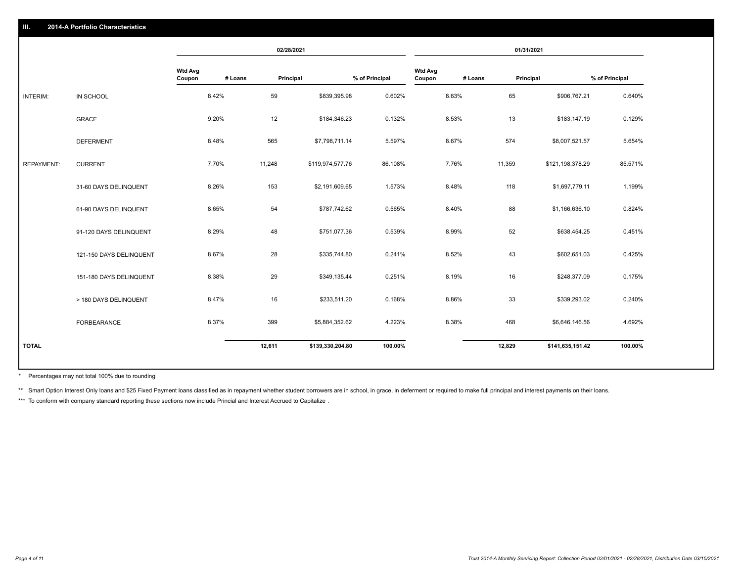|                         |                          |         | 02/28/2021                                                                                      |                                                                                                                                                                                        |                                    |         | 01/31/2021                                                                                      |                                                                                                                                                                                                              |
|-------------------------|--------------------------|---------|-------------------------------------------------------------------------------------------------|----------------------------------------------------------------------------------------------------------------------------------------------------------------------------------------|------------------------------------|---------|-------------------------------------------------------------------------------------------------|--------------------------------------------------------------------------------------------------------------------------------------------------------------------------------------------------------------|
|                         | <b>Wtd Avg</b><br>Coupon | # Loans | Principal                                                                                       |                                                                                                                                                                                        | <b>Wtd Avg</b><br>Coupon           | # Loans | Principal                                                                                       | % of Principal                                                                                                                                                                                               |
| IN SCHOOL               |                          |         | 59                                                                                              | 0.602%                                                                                                                                                                                 |                                    |         | 65                                                                                              | 0.640%                                                                                                                                                                                                       |
| <b>GRACE</b>            |                          |         | 12                                                                                              | 0.132%                                                                                                                                                                                 |                                    |         | 13                                                                                              | 0.129%                                                                                                                                                                                                       |
| <b>DEFERMENT</b>        |                          |         | 565                                                                                             | 5.597%                                                                                                                                                                                 |                                    |         | 574                                                                                             | 5.654%                                                                                                                                                                                                       |
| <b>CURRENT</b>          |                          |         | 11,248                                                                                          | 86.108%                                                                                                                                                                                |                                    |         | 11,359                                                                                          | 85.571%                                                                                                                                                                                                      |
| 31-60 DAYS DELINQUENT   |                          |         | 153                                                                                             | 1.573%                                                                                                                                                                                 |                                    |         | 118                                                                                             | 1.199%                                                                                                                                                                                                       |
| 61-90 DAYS DELINQUENT   |                          |         | 54                                                                                              | 0.565%                                                                                                                                                                                 |                                    |         | 88                                                                                              | 0.824%                                                                                                                                                                                                       |
| 91-120 DAYS DELINQUENT  |                          |         | 48                                                                                              | 0.539%                                                                                                                                                                                 |                                    |         | 52                                                                                              | 0.451%                                                                                                                                                                                                       |
| 121-150 DAYS DELINQUENT |                          |         | 28                                                                                              | 0.241%                                                                                                                                                                                 |                                    |         | 43                                                                                              | 0.425%                                                                                                                                                                                                       |
| 151-180 DAYS DELINQUENT |                          |         | 29                                                                                              | 0.251%                                                                                                                                                                                 |                                    |         | 16                                                                                              | 0.175%                                                                                                                                                                                                       |
| > 180 DAYS DELINQUENT   |                          |         | 16                                                                                              | 0.168%                                                                                                                                                                                 |                                    |         | 33                                                                                              | 0.240%                                                                                                                                                                                                       |
| <b>FORBEARANCE</b>      |                          |         | 399                                                                                             | 4.223%                                                                                                                                                                                 |                                    |         | 468                                                                                             | 4.692%                                                                                                                                                                                                       |
|                         |                          |         | 12,611                                                                                          | 100.00%                                                                                                                                                                                |                                    |         | 12,829                                                                                          | 100.00%                                                                                                                                                                                                      |
|                         |                          |         | 8.42%<br>9.20%<br>8.48%<br>7.70%<br>8.26%<br>8.65%<br>8.29%<br>8.67%<br>8.38%<br>8.47%<br>8.37% | \$839,395.98<br>\$184,346.23<br>\$7,798,711.14<br>\$119,974,577.76<br>\$2,191,609.65<br>\$787,742.62<br>\$751,077.36<br>\$335,744.80<br>\$349,135.44<br>\$233,511.20<br>\$5,884,352.62 | % of Principal<br>\$139,330,204.80 |         | 8.63%<br>8.53%<br>8.67%<br>7.76%<br>8.48%<br>8.40%<br>8.99%<br>8.52%<br>8.19%<br>8.86%<br>8.38% | \$906,767.21<br>\$183,147.19<br>\$8,007,521.57<br>\$121,198,378.29<br>\$1,697,779.11<br>\$1,166,636.10<br>\$638,454.25<br>\$602,651.03<br>\$248,377.09<br>\$339,293.02<br>\$6,646,146.56<br>\$141,635,151.42 |

Percentages may not total 100% due to rounding \*

\*\* Smart Option Interest Only loans and \$25 Fixed Payment loans classified as in repayment whether student borrowers are in school, in grace, in deferment or required to make full principal and interest payments on their l

\*\*\* To conform with company standard reporting these sections now include Princial and Interest Accrued to Capitalize .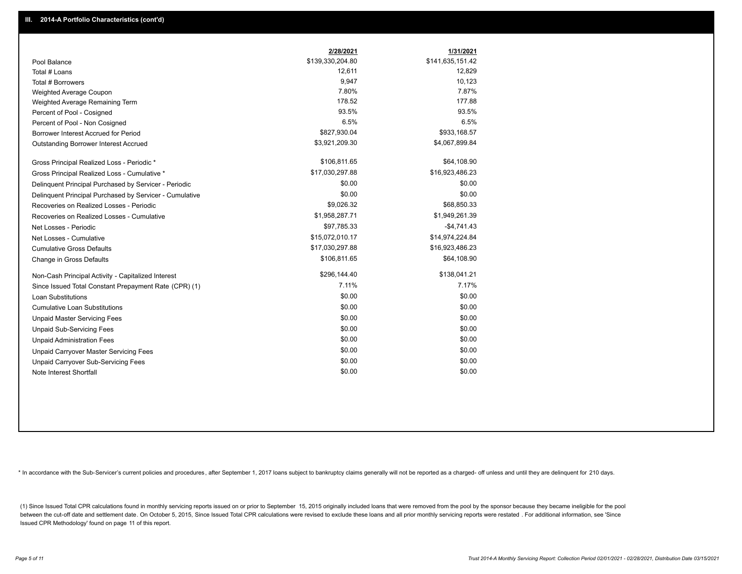|                                                         | 2/28/2021        | 1/31/2021        |
|---------------------------------------------------------|------------------|------------------|
| Pool Balance                                            | \$139,330,204.80 | \$141,635,151.42 |
| Total # Loans                                           | 12,611           | 12,829           |
| Total # Borrowers                                       | 9,947            | 10,123           |
| Weighted Average Coupon                                 | 7.80%            | 7.87%            |
| Weighted Average Remaining Term                         | 178.52           | 177.88           |
| Percent of Pool - Cosigned                              | 93.5%            | 93.5%            |
| Percent of Pool - Non Cosigned                          | 6.5%             | 6.5%             |
| Borrower Interest Accrued for Period                    | \$827,930.04     | \$933,168.57     |
| Outstanding Borrower Interest Accrued                   | \$3,921,209.30   | \$4,067,899.84   |
| Gross Principal Realized Loss - Periodic *              | \$106,811.65     | \$64,108.90      |
| Gross Principal Realized Loss - Cumulative *            | \$17,030,297.88  | \$16,923,486.23  |
| Delinquent Principal Purchased by Servicer - Periodic   | \$0.00           | \$0.00           |
| Delinquent Principal Purchased by Servicer - Cumulative | \$0.00           | \$0.00           |
| Recoveries on Realized Losses - Periodic                | \$9,026.32       | \$68,850.33      |
| Recoveries on Realized Losses - Cumulative              | \$1,958,287.71   | \$1,949,261.39   |
| Net Losses - Periodic                                   | \$97,785.33      | $-$4,741.43$     |
| Net Losses - Cumulative                                 | \$15,072,010.17  | \$14,974,224.84  |
| <b>Cumulative Gross Defaults</b>                        | \$17,030,297.88  | \$16,923,486.23  |
| Change in Gross Defaults                                | \$106,811.65     | \$64,108.90      |
| Non-Cash Principal Activity - Capitalized Interest      | \$296,144.40     | \$138,041.21     |
| Since Issued Total Constant Prepayment Rate (CPR) (1)   | 7.11%            | 7.17%            |
| <b>Loan Substitutions</b>                               | \$0.00           | \$0.00           |
| <b>Cumulative Loan Substitutions</b>                    | \$0.00           | \$0.00           |
| <b>Unpaid Master Servicing Fees</b>                     | \$0.00           | \$0.00           |
| <b>Unpaid Sub-Servicing Fees</b>                        | \$0.00           | \$0.00           |
| <b>Unpaid Administration Fees</b>                       | \$0.00           | \$0.00           |
| <b>Unpaid Carryover Master Servicing Fees</b>           | \$0.00           | \$0.00           |
| Unpaid Carryover Sub-Servicing Fees                     | \$0.00           | \$0.00           |
| Note Interest Shortfall                                 | \$0.00           | \$0.00           |

\* In accordance with the Sub-Servicer's current policies and procedures, after September 1, 2017 loans subject to bankruptcy claims generally will not be reported as a charged- off unless and until they are delinquent for

(1) Since Issued Total CPR calculations found in monthly servicing reports issued on or prior to September 15, 2015 originally included loans that were removed from the pool by the sponsor because they became ineligible fo between the cut-off date and settlement date. On October 5, 2015, Since Issued Total CPR calculations were revised to exclude these loans and all prior monthly servicing reports were restated. For additional information, s Issued CPR Methodology' found on page 11 of this report.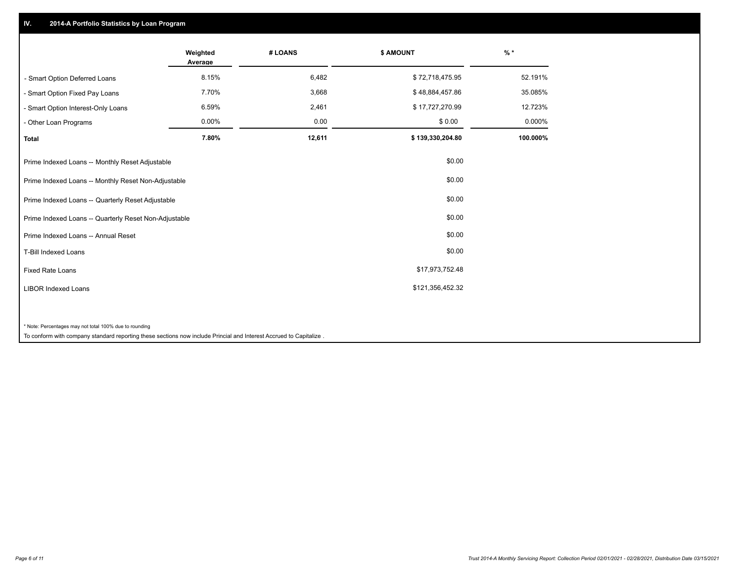## **IV. 2014-A Portfolio Statistics by Loan Program**

|                                                                                                                    | Weighted<br>Average | # LOANS | \$ AMOUNT        | $%$ *    |
|--------------------------------------------------------------------------------------------------------------------|---------------------|---------|------------------|----------|
| - Smart Option Deferred Loans                                                                                      | 8.15%               | 6,482   | \$72,718,475.95  | 52.191%  |
| - Smart Option Fixed Pay Loans                                                                                     | 7.70%               | 3,668   | \$48,884,457.86  | 35.085%  |
| - Smart Option Interest-Only Loans                                                                                 | 6.59%               | 2,461   | \$17,727,270.99  | 12.723%  |
| - Other Loan Programs                                                                                              | 0.00%               | 0.00    | \$0.00           | 0.000%   |
| <b>Total</b>                                                                                                       | 7.80%               | 12,611  | \$139,330,204.80 | 100.000% |
| Prime Indexed Loans -- Monthly Reset Adjustable                                                                    |                     |         | \$0.00           |          |
| Prime Indexed Loans -- Monthly Reset Non-Adjustable                                                                |                     |         | \$0.00           |          |
| Prime Indexed Loans -- Quarterly Reset Adjustable                                                                  |                     |         | \$0.00           |          |
| Prime Indexed Loans -- Quarterly Reset Non-Adjustable                                                              |                     |         | \$0.00           |          |
| Prime Indexed Loans -- Annual Reset                                                                                |                     |         | \$0.00           |          |
| T-Bill Indexed Loans                                                                                               |                     |         | \$0.00           |          |
| <b>Fixed Rate Loans</b>                                                                                            |                     |         | \$17,973,752.48  |          |
| <b>LIBOR Indexed Loans</b>                                                                                         |                     |         | \$121,356,452.32 |          |
|                                                                                                                    |                     |         |                  |          |
| * Note: Percentages may not total 100% due to rounding                                                             |                     |         |                  |          |
| To conform with company standard reporting these sections now include Princial and Interest Accrued to Capitalize. |                     |         |                  |          |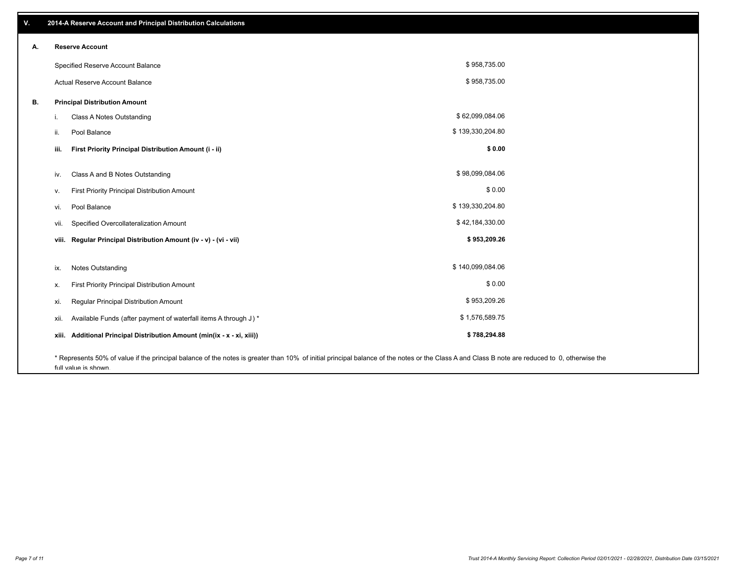| ٧. | 2014-A Reserve Account and Principal Distribution Calculations                                                                                                                                |                  |  |
|----|-----------------------------------------------------------------------------------------------------------------------------------------------------------------------------------------------|------------------|--|
| Α. | <b>Reserve Account</b>                                                                                                                                                                        |                  |  |
|    | Specified Reserve Account Balance                                                                                                                                                             | \$958,735.00     |  |
|    | Actual Reserve Account Balance                                                                                                                                                                | \$958,735.00     |  |
| В. | <b>Principal Distribution Amount</b>                                                                                                                                                          |                  |  |
|    | Class A Notes Outstanding<br>i.                                                                                                                                                               | \$62,099,084.06  |  |
|    | Pool Balance<br>ii.                                                                                                                                                                           | \$139,330,204.80 |  |
|    | First Priority Principal Distribution Amount (i - ii)<br>iii.                                                                                                                                 | \$0.00           |  |
|    |                                                                                                                                                                                               |                  |  |
|    | Class A and B Notes Outstanding<br>iv.                                                                                                                                                        | \$98,099,084.06  |  |
|    | First Priority Principal Distribution Amount<br>v.                                                                                                                                            | \$0.00           |  |
|    | Pool Balance<br>vi.                                                                                                                                                                           | \$139,330,204.80 |  |
|    | Specified Overcollateralization Amount<br>vii.                                                                                                                                                | \$42,184,330.00  |  |
|    | viii. Regular Principal Distribution Amount (iv - v) - (vi - vii)                                                                                                                             | \$953,209.26     |  |
|    |                                                                                                                                                                                               |                  |  |
|    | <b>Notes Outstanding</b><br>ix.                                                                                                                                                               | \$140,099,084.06 |  |
|    | First Priority Principal Distribution Amount<br>х.                                                                                                                                            | \$0.00           |  |
|    | Regular Principal Distribution Amount<br>xi.                                                                                                                                                  | \$953,209.26     |  |
|    | Available Funds (after payment of waterfall items A through J) *<br>xii.                                                                                                                      | \$1,576,589.75   |  |
|    | Additional Principal Distribution Amount (min(ix - x - xi, xiii))<br>xiii.                                                                                                                    | \$788,294.88     |  |
|    | * Represents 50% of value if the principal balance of the notes is greater than 10% of initial principal balance of the notes or the Class A and Class B note are reduced to 0, otherwise the |                  |  |

full value is shown.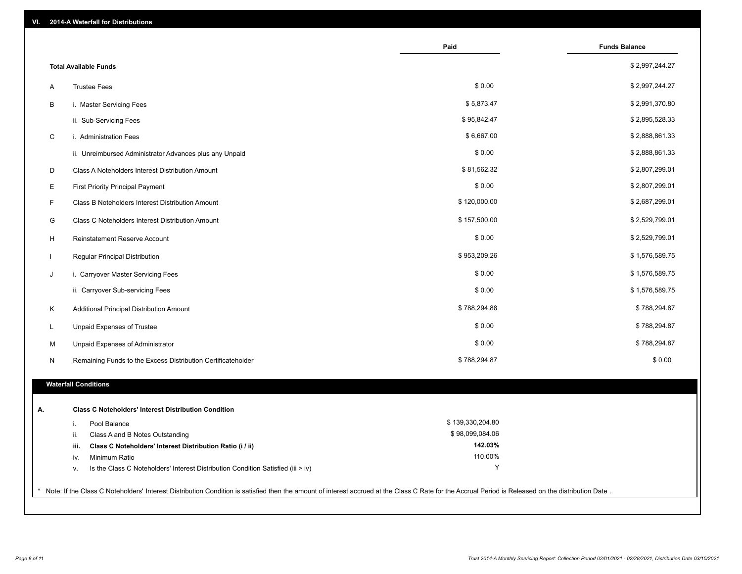| 2014-A Waterfall for Distributions<br>VI.                                                                                                                                                             |                  |                      |
|-------------------------------------------------------------------------------------------------------------------------------------------------------------------------------------------------------|------------------|----------------------|
|                                                                                                                                                                                                       | Paid             | <b>Funds Balance</b> |
| <b>Total Available Funds</b>                                                                                                                                                                          |                  | \$2,997,244.27       |
| <b>Trustee Fees</b><br>Α                                                                                                                                                                              | \$0.00           | \$2,997,244.27       |
| В<br>i. Master Servicing Fees                                                                                                                                                                         | \$5,873.47       | \$2,991,370.80       |
| ii. Sub-Servicing Fees                                                                                                                                                                                | \$95,842.47      | \$2,895,528.33       |
| C<br>i. Administration Fees                                                                                                                                                                           | \$6,667.00       | \$2,888,861.33       |
| ii. Unreimbursed Administrator Advances plus any Unpaid                                                                                                                                               | \$0.00           | \$2,888,861.33       |
| D<br>Class A Noteholders Interest Distribution Amount                                                                                                                                                 | \$81,562.32      | \$2,807,299.01       |
| E<br><b>First Priority Principal Payment</b>                                                                                                                                                          | \$0.00           | \$2,807,299.01       |
| F<br>Class B Noteholders Interest Distribution Amount                                                                                                                                                 | \$120,000.00     | \$2,687,299.01       |
| G<br>Class C Noteholders Interest Distribution Amount                                                                                                                                                 | \$157,500.00     | \$2,529,799.01       |
| н<br>Reinstatement Reserve Account                                                                                                                                                                    | \$0.00           | \$2,529,799.01       |
| Regular Principal Distribution                                                                                                                                                                        | \$953,209.26     | \$1,576,589.75       |
| i. Carryover Master Servicing Fees<br>J                                                                                                                                                               | \$0.00           | \$1,576,589.75       |
| ii. Carryover Sub-servicing Fees                                                                                                                                                                      | \$0.00           | \$1,576,589.75       |
| Additional Principal Distribution Amount<br>Κ                                                                                                                                                         | \$788,294.88     | \$788,294.87         |
| Unpaid Expenses of Trustee<br>L                                                                                                                                                                       | \$0.00           | \$788,294.87         |
| М<br>Unpaid Expenses of Administrator                                                                                                                                                                 | \$0.00           | \$788,294.87         |
| N<br>Remaining Funds to the Excess Distribution Certificateholder                                                                                                                                     | \$788,294.87     | \$0.00               |
| <b>Waterfall Conditions</b>                                                                                                                                                                           |                  |                      |
|                                                                                                                                                                                                       |                  |                      |
| <b>Class C Noteholders' Interest Distribution Condition</b><br>А.                                                                                                                                     |                  |                      |
| Pool Balance<br>j.                                                                                                                                                                                    | \$139,330,204.80 |                      |
| Class A and B Notes Outstanding<br>ii.                                                                                                                                                                | \$98,099,084.06  |                      |
| Class C Noteholders' Interest Distribution Ratio (i / ii)<br>iii.                                                                                                                                     | 142.03%          |                      |
| Minimum Ratio<br>iv.                                                                                                                                                                                  | 110.00%          |                      |
| Is the Class C Noteholders' Interest Distribution Condition Satisfied (iii > iv)<br>v.                                                                                                                | Υ                |                      |
| * Note: If the Class C Noteholders' Interest Distribution Condition is satisfied then the amount of interest accrued at the Class C Rate for the Accrual Period is Released on the distribution Date. |                  |                      |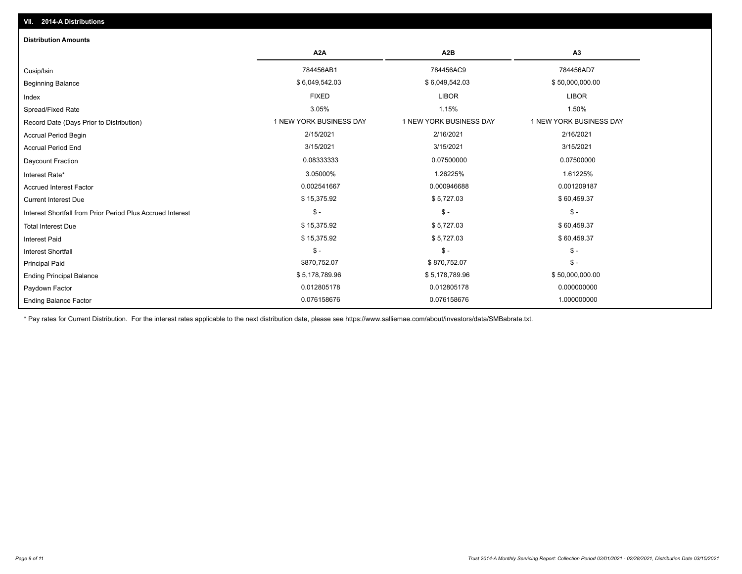| <b>Distribution Amounts</b>                                |                         |                         |                         |
|------------------------------------------------------------|-------------------------|-------------------------|-------------------------|
|                                                            | A <sub>2</sub> A        | A2B                     | A3                      |
| Cusip/Isin                                                 | 784456AB1               | 784456AC9               | 784456AD7               |
| <b>Beginning Balance</b>                                   | \$6,049,542.03          | \$6,049,542.03          | \$50,000,000.00         |
| Index                                                      | <b>FIXED</b>            | <b>LIBOR</b>            | <b>LIBOR</b>            |
| Spread/Fixed Rate                                          | 3.05%                   | 1.15%                   | 1.50%                   |
| Record Date (Days Prior to Distribution)                   | 1 NEW YORK BUSINESS DAY | 1 NEW YORK BUSINESS DAY | 1 NEW YORK BUSINESS DAY |
| Accrual Period Begin                                       | 2/15/2021               | 2/16/2021               | 2/16/2021               |
| <b>Accrual Period End</b>                                  | 3/15/2021               | 3/15/2021               | 3/15/2021               |
| <b>Daycount Fraction</b>                                   | 0.08333333              | 0.07500000              | 0.07500000              |
| Interest Rate*                                             | 3.05000%                | 1.26225%                | 1.61225%                |
| <b>Accrued Interest Factor</b>                             | 0.002541667             | 0.000946688             | 0.001209187             |
| <b>Current Interest Due</b>                                | \$15,375.92             | \$5,727.03              | \$60,459.37             |
| Interest Shortfall from Prior Period Plus Accrued Interest | $\mathsf{\$}$ -         | $$ -$                   | $\mathsf{\$}$ -         |
| <b>Total Interest Due</b>                                  | \$15,375.92             | \$5,727.03              | \$60,459.37             |
| Interest Paid                                              | \$15,375.92             | \$5,727.03              | \$60,459.37             |
| <b>Interest Shortfall</b>                                  | $\frac{1}{2}$           | $\mathsf{\$}$ -         | $\mathsf{\$}$ -         |
| <b>Principal Paid</b>                                      | \$870,752.07            | \$870,752.07            | $$ -$                   |
| <b>Ending Principal Balance</b>                            | \$5,178,789.96          | \$5,178,789.96          | \$50,000,000.00         |
| Paydown Factor                                             | 0.012805178             | 0.012805178             | 0.000000000             |
| <b>Ending Balance Factor</b>                               | 0.076158676             | 0.076158676             | 1.000000000             |

\* Pay rates for Current Distribution. For the interest rates applicable to the next distribution date, please see https://www.salliemae.com/about/investors/data/SMBabrate.txt.

**VII. 2014-A Distributions**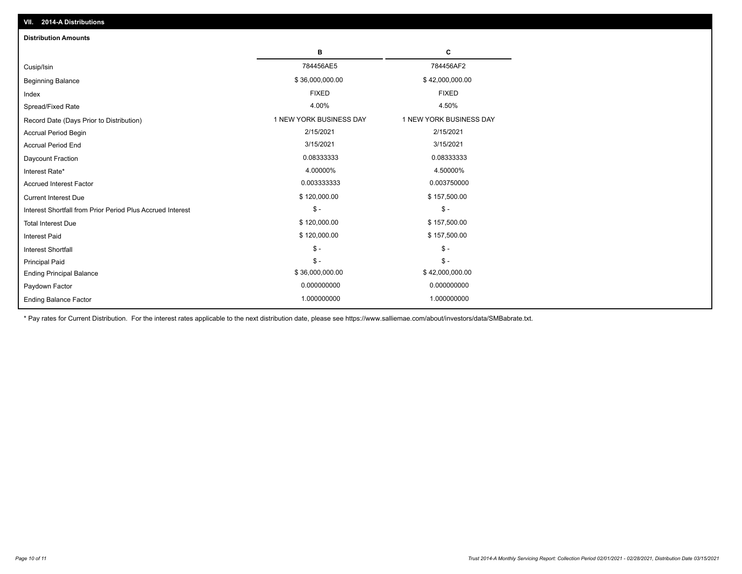| <b>Distribution Amounts</b>                                |                         |                         |
|------------------------------------------------------------|-------------------------|-------------------------|
|                                                            | в                       | C                       |
| Cusip/Isin                                                 | 784456AE5               | 784456AF2               |
| <b>Beginning Balance</b>                                   | \$36,000,000.00         | \$42,000,000.00         |
| Index                                                      | <b>FIXED</b>            | <b>FIXED</b>            |
| Spread/Fixed Rate                                          | 4.00%                   | 4.50%                   |
| Record Date (Days Prior to Distribution)                   | 1 NEW YORK BUSINESS DAY | 1 NEW YORK BUSINESS DAY |
| <b>Accrual Period Begin</b>                                | 2/15/2021               | 2/15/2021               |
| <b>Accrual Period End</b>                                  | 3/15/2021               | 3/15/2021               |
| Daycount Fraction                                          | 0.08333333              | 0.08333333              |
| Interest Rate*                                             | 4.00000%                | 4.50000%                |
| <b>Accrued Interest Factor</b>                             | 0.003333333             | 0.003750000             |
| <b>Current Interest Due</b>                                | \$120,000.00            | \$157,500.00            |
| Interest Shortfall from Prior Period Plus Accrued Interest | $\mathsf{\$}$ -         | $\mathsf{\$}$ -         |
| <b>Total Interest Due</b>                                  | \$120,000.00            | \$157,500.00            |
| <b>Interest Paid</b>                                       | \$120,000.00            | \$157,500.00            |
| Interest Shortfall                                         | $\frac{1}{2}$           | $$ -$                   |
| <b>Principal Paid</b>                                      | $\mathsf{\$}$ -         | $\frac{1}{2}$           |
| <b>Ending Principal Balance</b>                            | \$36,000,000.00         | \$42,000,000.00         |
| Paydown Factor                                             | 0.000000000             | 0.000000000             |
| <b>Ending Balance Factor</b>                               | 1.000000000             | 1.000000000             |

\* Pay rates for Current Distribution. For the interest rates applicable to the next distribution date, please see https://www.salliemae.com/about/investors/data/SMBabrate.txt.

**VII. 2014-A Distributions**